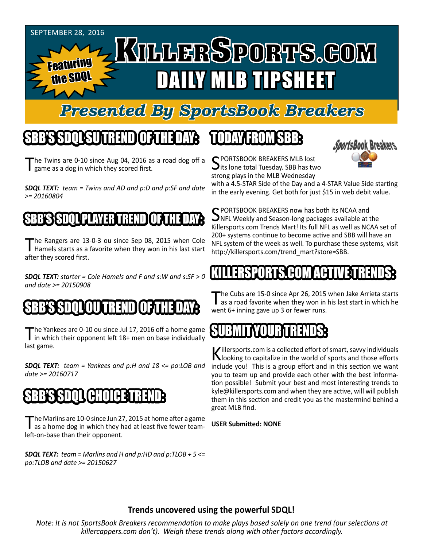

## *Presented By SportsBook Breakers*

#### SBB'S SDQL SU TREND OF THE DAY:

he Twins are 0-10 since Aug 04, 2016 as a road dog off a game as a dog in which they scored first.

*SDQL TEXT: team = Twins and AD and p:D and p:SF and date >= 20160804*

#### SSSDOL PLAYER TREN

The Rangers are 13-0-3 ou since Sep 08, 2015 when Cole<br>Hamels starts as a favorite when they won in his last start after they scored first.

*SDQL TEXT: starter = Cole Hamels and F and s:W and s:SF > 0 and date >= 20150908*

## N SESDA

The Yankees are 0-10 ou since Jul 17, 2016 off a home game<br>in which their opponent left 18+ men on base individually last game.

*SDQL TEXT: team = Yankees and p:H and 18 <= po:LOB and date >= 20160717*

#### SBB'S SDQL CHOICE TREND

The Marlins are 10-0 since Jun 27, 2015 at home after a game<br>as a home dog in which they had at least five fewer teamleft-on-base than their opponent.

*SDQL TEXT: team = Marlins and H and p:HD and p:TLOB + 5 <= po:TLOB and date >= 20150627*

#### TODAY HAOMSBB



C PORTSBOOK BREAKERS MLB lost **J**its lone total Tuesday. SBB has two strong plays in the MLB Wednesday

with a 4.5-STAR Side of the Day and a 4-STAR Value Side starting in the early evening. Get both for just \$15 in web debit value.

SPORTSBOOK BREAKERS now has both its NCAA and<br>NFL Weekly and Season-long packages available at the Killersports.com Trends Mart! Its full NFL as well as NCAA set of 200+ systems continue to become active and SBB will have an NFL system of the week as well. To purchase these systems, visit http://killersports.com/trend\_mart?store=SBB.

#### ERSPORTS.COM ACTIVE

The Cubs are 15-0 since Apr 26, 2015 when Jake Arrieta starts<br>as a road favorite when they won in his last start in which he went 6+ inning gave up 3 or fewer runs.

## **SUB**

Killersports.com is a collected effort of smart, savvy individuals<br>Nooking to capitalize in the world of sports and those efforts include you! This is a group effort and in this section we want you to team up and provide each other with the best information possible! Submit your best and most interesting trends to kyle@killersports.com and when they are active, will will publish them in this section and credit you as the mastermind behind a great MLB find.

**USER Submitted: NONE**

#### **Trends uncovered using the powerful SDQL!**

*Note: It is not SportsBook Breakers recommendation to make plays based solely on one trend (our selections at killercappers.com don't). Weigh these trends along with other factors accordingly.*